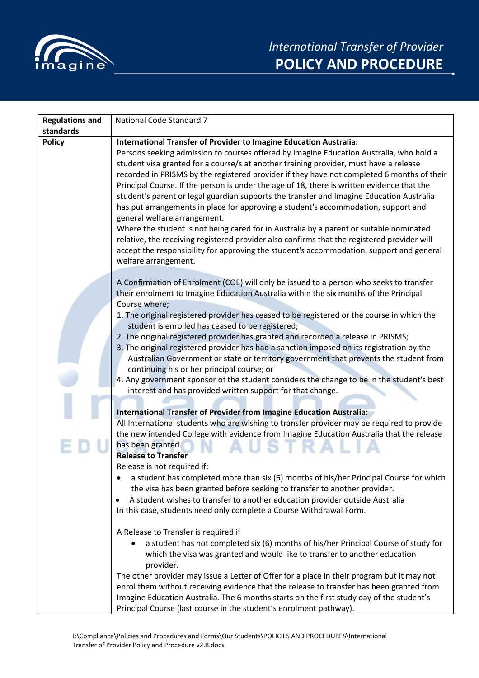

| <b>Regulations and</b> | National Code Standard 7                                                                                                                                                                                                                                                                                                                                                                                                                                                                                                                                                                                                                                                                                                                                                                                                                                                                                                                                                                                                                                                                                                                                                                                                                                                                                                                                                                                                                                                                                                                                                                                                                                                                                                                                                                                                                                                                                                                                                                                                                                                                                                   |
|------------------------|----------------------------------------------------------------------------------------------------------------------------------------------------------------------------------------------------------------------------------------------------------------------------------------------------------------------------------------------------------------------------------------------------------------------------------------------------------------------------------------------------------------------------------------------------------------------------------------------------------------------------------------------------------------------------------------------------------------------------------------------------------------------------------------------------------------------------------------------------------------------------------------------------------------------------------------------------------------------------------------------------------------------------------------------------------------------------------------------------------------------------------------------------------------------------------------------------------------------------------------------------------------------------------------------------------------------------------------------------------------------------------------------------------------------------------------------------------------------------------------------------------------------------------------------------------------------------------------------------------------------------------------------------------------------------------------------------------------------------------------------------------------------------------------------------------------------------------------------------------------------------------------------------------------------------------------------------------------------------------------------------------------------------------------------------------------------------------------------------------------------------|
| standards              |                                                                                                                                                                                                                                                                                                                                                                                                                                                                                                                                                                                                                                                                                                                                                                                                                                                                                                                                                                                                                                                                                                                                                                                                                                                                                                                                                                                                                                                                                                                                                                                                                                                                                                                                                                                                                                                                                                                                                                                                                                                                                                                            |
| <b>Policy</b>          | International Transfer of Provider to Imagine Education Australia:<br>Persons seeking admission to courses offered by Imagine Education Australia, who hold a<br>student visa granted for a course/s at another training provider, must have a release<br>recorded in PRISMS by the registered provider if they have not completed 6 months of their<br>Principal Course. If the person is under the age of 18, there is written evidence that the<br>student's parent or legal guardian supports the transfer and Imagine Education Australia<br>has put arrangements in place for approving a student's accommodation, support and<br>general welfare arrangement.<br>Where the student is not being cared for in Australia by a parent or suitable nominated<br>relative, the receiving registered provider also confirms that the registered provider will<br>accept the responsibility for approving the student's accommodation, support and general<br>welfare arrangement.                                                                                                                                                                                                                                                                                                                                                                                                                                                                                                                                                                                                                                                                                                                                                                                                                                                                                                                                                                                                                                                                                                                                         |
|                        | A Confirmation of Enrolment (COE) will only be issued to a person who seeks to transfer<br>their enrolment to Imagine Education Australia within the six months of the Principal<br>Course where;<br>1. The original registered provider has ceased to be registered or the course in which the<br>student is enrolled has ceased to be registered;<br>2. The original registered provider has granted and recorded a release in PRISMS;<br>3. The original registered provider has had a sanction imposed on its registration by the<br>Australian Government or state or territory government that prevents the student from<br>continuing his or her principal course; or<br>4. Any government sponsor of the student considers the change to be in the student's best<br>interest and has provided written support for that change.<br><b>International Transfer of Provider from Imagine Education Australia:</b><br>All International students who are wishing to transfer provider may be required to provide<br>the new intended College with evidence from Imagine Education Australia that the release<br>has been granted<br><b>Release to Transfer</b><br>Release is not required if:<br>a student has completed more than six (6) months of his/her Principal Course for which<br>the visa has been granted before seeking to transfer to another provider.<br>A student wishes to transfer to another education provider outside Australia<br>٠<br>In this case, students need only complete a Course Withdrawal Form.<br>A Release to Transfer is required if<br>a student has not completed six (6) months of his/her Principal Course of study for<br>which the visa was granted and would like to transfer to another education<br>provider.<br>The other provider may issue a Letter of Offer for a place in their program but it may not<br>enrol them without receiving evidence that the release to transfer has been granted from<br>Imagine Education Australia. The 6 months starts on the first study day of the student's<br>Principal Course (last course in the student's enrolment pathway). |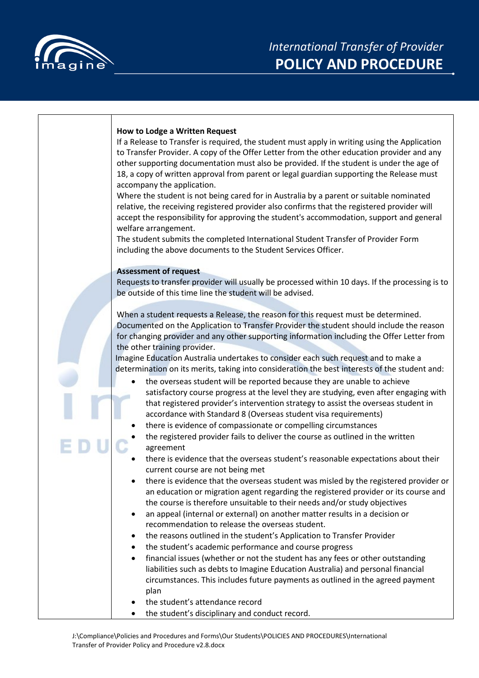

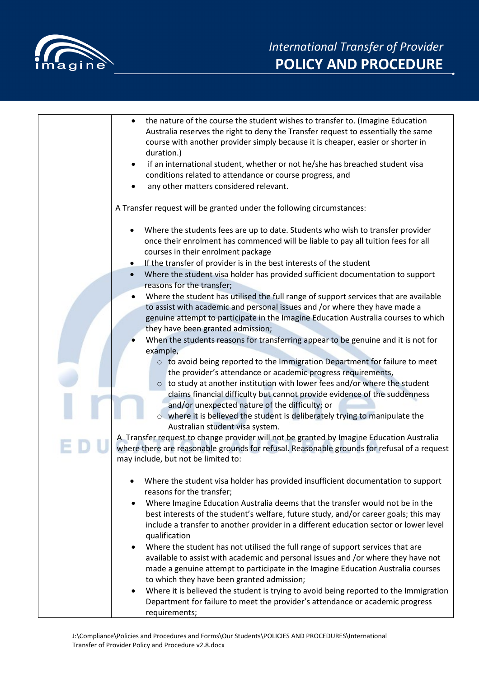

| the nature of the course the student wishes to transfer to. (Imagine Education<br>Australia reserves the right to deny the Transfer request to essentially the same<br>course with another provider simply because it is cheaper, easier or shorter in<br>duration.)<br>if an international student, whether or not he/she has breached student visa<br>conditions related to attendance or course progress, and<br>any other matters considered relevant.<br>٠                                                                                                                                                                                                                                                                                                                                              |
|--------------------------------------------------------------------------------------------------------------------------------------------------------------------------------------------------------------------------------------------------------------------------------------------------------------------------------------------------------------------------------------------------------------------------------------------------------------------------------------------------------------------------------------------------------------------------------------------------------------------------------------------------------------------------------------------------------------------------------------------------------------------------------------------------------------|
| A Transfer request will be granted under the following circumstances:                                                                                                                                                                                                                                                                                                                                                                                                                                                                                                                                                                                                                                                                                                                                        |
| Where the students fees are up to date. Students who wish to transfer provider<br>once their enrolment has commenced will be liable to pay all tuition fees for all<br>courses in their enrolment package                                                                                                                                                                                                                                                                                                                                                                                                                                                                                                                                                                                                    |
| If the transfer of provider is in the best interests of the student<br>٠                                                                                                                                                                                                                                                                                                                                                                                                                                                                                                                                                                                                                                                                                                                                     |
| Where the student visa holder has provided sufficient documentation to support<br>reasons for the transfer;                                                                                                                                                                                                                                                                                                                                                                                                                                                                                                                                                                                                                                                                                                  |
| Where the student has utilised the full range of support services that are available<br>to assist with academic and personal issues and /or where they have made a<br>genuine attempt to participate in the Imagine Education Australia courses to which<br>they have been granted admission;                                                                                                                                                                                                                                                                                                                                                                                                                                                                                                                |
| When the students reasons for transferring appear to be genuine and it is not for                                                                                                                                                                                                                                                                                                                                                                                                                                                                                                                                                                                                                                                                                                                            |
| example,                                                                                                                                                                                                                                                                                                                                                                                                                                                                                                                                                                                                                                                                                                                                                                                                     |
| o to avoid being reported to the Immigration Department for failure to meet<br>the provider's attendance or academic progress requirements,<br>$\circ$ to study at another institution with lower fees and/or where the student<br>claims financial difficulty but cannot provide evidence of the suddenness                                                                                                                                                                                                                                                                                                                                                                                                                                                                                                 |
| and/or unexpected nature of the difficulty; or<br>o where it is believed the student is deliberately trying to manipulate the<br>Australian student visa system.                                                                                                                                                                                                                                                                                                                                                                                                                                                                                                                                                                                                                                             |
| A Transfer request to change provider will not be granted by Imagine Education Australia<br>where there are reasonable grounds for refusal. Reasonable grounds for refusal of a request<br>may include, but not be limited to:                                                                                                                                                                                                                                                                                                                                                                                                                                                                                                                                                                               |
| Where the student visa holder has provided insufficient documentation to support<br>reasons for the transfer;<br>Where Imagine Education Australia deems that the transfer would not be in the<br>٠<br>best interests of the student's welfare, future study, and/or career goals; this may<br>include a transfer to another provider in a different education sector or lower level<br>qualification<br>Where the student has not utilised the full range of support services that are<br>available to assist with academic and personal issues and /or where they have not<br>made a genuine attempt to participate in the Imagine Education Australia courses<br>to which they have been granted admission;<br>Where it is believed the student is trying to avoid being reported to the Immigration<br>٠ |
| Department for failure to meet the provider's attendance or academic progress<br>requirements;                                                                                                                                                                                                                                                                                                                                                                                                                                                                                                                                                                                                                                                                                                               |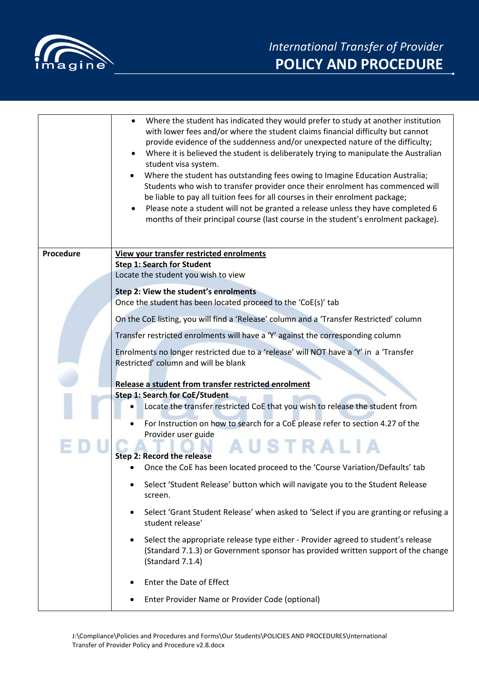

|           | Where the student has indicated they would prefer to study at another institution<br>with lower fees and/or where the student claims financial difficulty but cannot<br>provide evidence of the suddenness and/or unexpected nature of the difficulty;<br>Where it is believed the student is deliberately trying to manipulate the Australian<br>student visa system.<br>Where the student has outstanding fees owing to Imagine Education Australia;<br>Students who wish to transfer provider once their enrolment has commenced will<br>be liable to pay all tuition fees for all courses in their enrolment package;<br>Please note a student will not be granted a release unless they have completed 6<br>months of their principal course (last course in the student's enrolment package). |
|-----------|-----------------------------------------------------------------------------------------------------------------------------------------------------------------------------------------------------------------------------------------------------------------------------------------------------------------------------------------------------------------------------------------------------------------------------------------------------------------------------------------------------------------------------------------------------------------------------------------------------------------------------------------------------------------------------------------------------------------------------------------------------------------------------------------------------|
| Procedure | View your transfer restricted enrolments                                                                                                                                                                                                                                                                                                                                                                                                                                                                                                                                                                                                                                                                                                                                                            |
|           | <b>Step 1: Search for Student</b>                                                                                                                                                                                                                                                                                                                                                                                                                                                                                                                                                                                                                                                                                                                                                                   |
|           | Locate the student you wish to view                                                                                                                                                                                                                                                                                                                                                                                                                                                                                                                                                                                                                                                                                                                                                                 |
|           | Step 2: View the student's enrolments                                                                                                                                                                                                                                                                                                                                                                                                                                                                                                                                                                                                                                                                                                                                                               |
|           | Once the student has been located proceed to the 'CoE(s)' tab                                                                                                                                                                                                                                                                                                                                                                                                                                                                                                                                                                                                                                                                                                                                       |
|           | On the CoE listing, you will find a 'Release' column and a 'Transfer Restricted' column                                                                                                                                                                                                                                                                                                                                                                                                                                                                                                                                                                                                                                                                                                             |
|           | Transfer restricted enrolments will have a 'Y' against the corresponding column                                                                                                                                                                                                                                                                                                                                                                                                                                                                                                                                                                                                                                                                                                                     |
|           | Enrolments no longer restricted due to a 'release' will NOT have a 'Y' in a 'Transfer<br>Restricted' column and will be blank                                                                                                                                                                                                                                                                                                                                                                                                                                                                                                                                                                                                                                                                       |
|           |                                                                                                                                                                                                                                                                                                                                                                                                                                                                                                                                                                                                                                                                                                                                                                                                     |
|           | Release a student from transfer restricted enrolment                                                                                                                                                                                                                                                                                                                                                                                                                                                                                                                                                                                                                                                                                                                                                |
|           | <b>Step 1: Search for CoE/Student</b>                                                                                                                                                                                                                                                                                                                                                                                                                                                                                                                                                                                                                                                                                                                                                               |
|           | Locate the transfer restricted CoE that you wish to release the student from                                                                                                                                                                                                                                                                                                                                                                                                                                                                                                                                                                                                                                                                                                                        |
|           | For Instruction on how to search for a CoE please refer to section 4.27 of the<br>Provider user guide                                                                                                                                                                                                                                                                                                                                                                                                                                                                                                                                                                                                                                                                                               |
|           | USTRALIA                                                                                                                                                                                                                                                                                                                                                                                                                                                                                                                                                                                                                                                                                                                                                                                            |
|           | Step 2: Record the release                                                                                                                                                                                                                                                                                                                                                                                                                                                                                                                                                                                                                                                                                                                                                                          |
|           | Once the CoE has been located proceed to the 'Course Variation/Defaults' tab                                                                                                                                                                                                                                                                                                                                                                                                                                                                                                                                                                                                                                                                                                                        |
|           | Select 'Student Release' button which will navigate you to the Student Release<br>screen.                                                                                                                                                                                                                                                                                                                                                                                                                                                                                                                                                                                                                                                                                                           |
|           | Select 'Grant Student Release' when asked to 'Select if you are granting or refusing a<br>student release'                                                                                                                                                                                                                                                                                                                                                                                                                                                                                                                                                                                                                                                                                          |
|           | Select the appropriate release type either - Provider agreed to student's release<br>(Standard 7.1.3) or Government sponsor has provided written support of the change<br>(Standard 7.1.4)                                                                                                                                                                                                                                                                                                                                                                                                                                                                                                                                                                                                          |
|           | Enter the Date of Effect                                                                                                                                                                                                                                                                                                                                                                                                                                                                                                                                                                                                                                                                                                                                                                            |
|           | Enter Provider Name or Provider Code (optional)                                                                                                                                                                                                                                                                                                                                                                                                                                                                                                                                                                                                                                                                                                                                                     |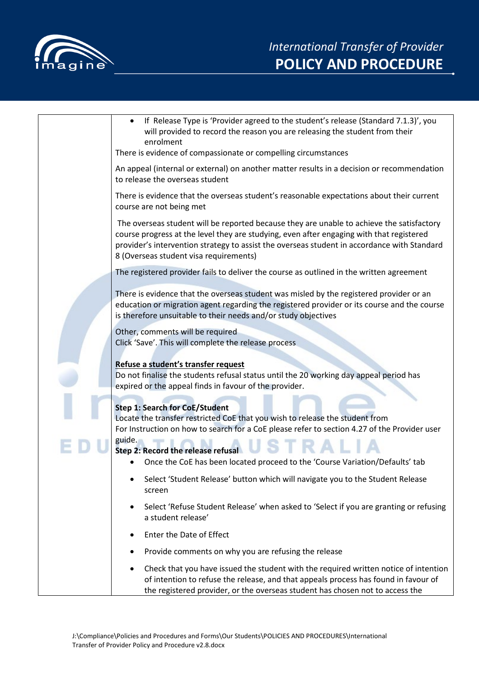

| Check that you have issued the student with the required written notice of intention<br>$\bullet$<br>of intention to refuse the release, and that appeals process has found in favour of<br>the registered provider, or the overseas student has chosen not to access the                                                      |
|--------------------------------------------------------------------------------------------------------------------------------------------------------------------------------------------------------------------------------------------------------------------------------------------------------------------------------|
| Provide comments on why you are refusing the release<br>٠                                                                                                                                                                                                                                                                      |
| Enter the Date of Effect<br>٠                                                                                                                                                                                                                                                                                                  |
| Select 'Refuse Student Release' when asked to 'Select if you are granting or refusing<br>a student release'                                                                                                                                                                                                                    |
| screen                                                                                                                                                                                                                                                                                                                         |
| Select 'Student Release' button which will navigate you to the Student Release                                                                                                                                                                                                                                                 |
| Step 2: Record the release refusal<br>Once the CoE has been located proceed to the 'Course Variation/Defaults' tab                                                                                                                                                                                                             |
| guide.                                                                                                                                                                                                                                                                                                                         |
| <b>Step 1: Search for CoE/Student</b><br>Locate the transfer restricted CoE that you wish to release the student from<br>For Instruction on how to search for a CoE please refer to section 4.27 of the Provider user                                                                                                          |
| Refuse a student's transfer request<br>Do not finalise the students refusal status until the 20 working day appeal period has<br>expired or the appeal finds in favour of the provider.                                                                                                                                        |
| Other, comments will be required<br>Click 'Save'. This will complete the release process                                                                                                                                                                                                                                       |
| education or migration agent regarding the registered provider or its course and the course<br>is therefore unsuitable to their needs and/or study objectives                                                                                                                                                                  |
| There is evidence that the overseas student was misled by the registered provider or an                                                                                                                                                                                                                                        |
| The registered provider fails to deliver the course as outlined in the written agreement                                                                                                                                                                                                                                       |
| The overseas student will be reported because they are unable to achieve the satisfactory<br>course progress at the level they are studying, even after engaging with that registered<br>provider's intervention strategy to assist the overseas student in accordance with Standard<br>8 (Overseas student visa requirements) |
| There is evidence that the overseas student's reasonable expectations about their current<br>course are not being met                                                                                                                                                                                                          |
| An appeal (internal or external) on another matter results in a decision or recommendation<br>to release the overseas student                                                                                                                                                                                                  |
| will provided to record the reason you are releasing the student from their<br>enrolment<br>There is evidence of compassionate or compelling circumstances                                                                                                                                                                     |
| If Release Type is 'Provider agreed to the student's release (Standard 7.1.3)', you                                                                                                                                                                                                                                            |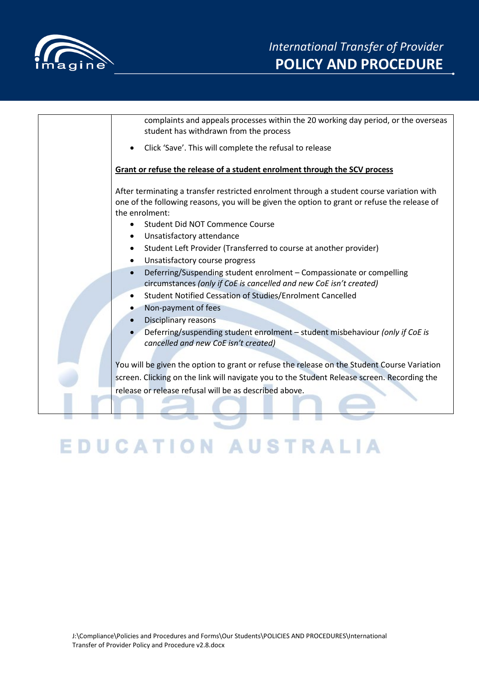

| complaints and appeals processes within the 20 working day period, or the overseas<br>student has withdrawn from the process                                                                                |
|-------------------------------------------------------------------------------------------------------------------------------------------------------------------------------------------------------------|
| Click 'Save'. This will complete the refusal to release                                                                                                                                                     |
| Grant or refuse the release of a student enrolment through the SCV process                                                                                                                                  |
| After terminating a transfer restricted enrolment through a student course variation with<br>one of the following reasons, you will be given the option to grant or refuse the release of<br>the enrolment: |
| Student Did NOT Commence Course                                                                                                                                                                             |
| Unsatisfactory attendance                                                                                                                                                                                   |
| Student Left Provider (Transferred to course at another provider)<br>$\bullet$                                                                                                                              |
| Unsatisfactory course progress<br>$\bullet$                                                                                                                                                                 |
| Deferring/Suspending student enrolment - Compassionate or compelling<br>$\bullet$<br>circumstances (only if CoE is cancelled and new CoE isn't created)                                                     |
| Student Notified Cessation of Studies/Enrolment Cancelled<br>$\bullet$                                                                                                                                      |
| Non-payment of fees                                                                                                                                                                                         |
| Disciplinary reasons                                                                                                                                                                                        |
| Deferring/suspending student enrolment - student misbehaviour (only if CoE is<br>cancelled and new CoE isn't created)                                                                                       |
| You will be given the option to grant or refuse the release on the Student Course Variation                                                                                                                 |
| screen. Clicking on the link will navigate you to the Student Release screen. Recording the                                                                                                                 |
| release or release refusal will be as described above.                                                                                                                                                      |
|                                                                                                                                                                                                             |
|                                                                                                                                                                                                             |
|                                                                                                                                                                                                             |

## **EDUCATION AUSTRALIA**